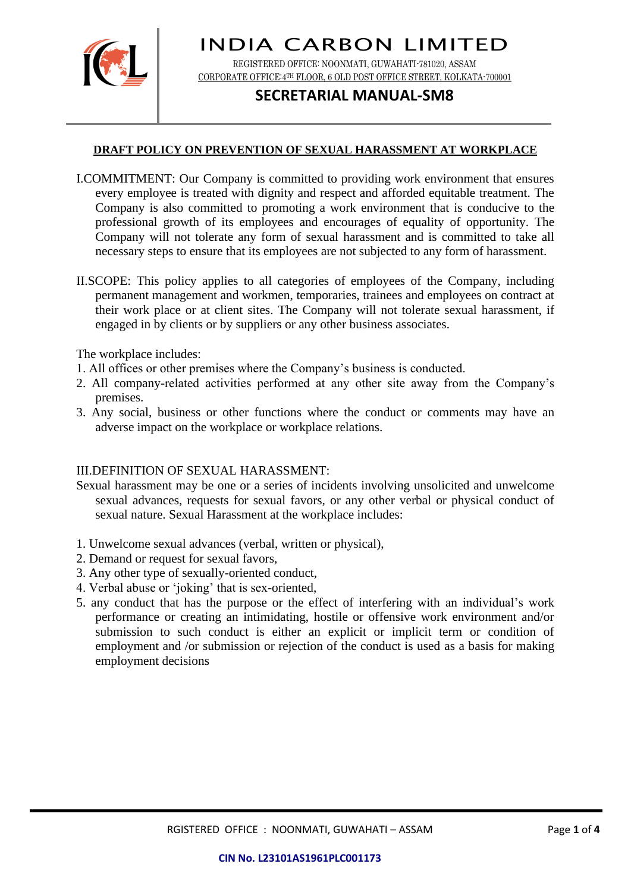

REGISTERED OFFICE: NOONMATI, GUWAHATI-781020, ASSAM CORPORATE OFFICE:4TH FLOOR, 6 OLD POST OFFICE STREET, KOLKATA-700001

## **SECRETARIAL MANUAL-SM8**

### **DRAFT POLICY ON PREVENTION OF SEXUAL HARASSMENT AT WORKPLACE**

- I.COMMITMENT: Our Company is committed to providing work environment that ensures every employee is treated with dignity and respect and afforded equitable treatment. The Company is also committed to promoting a work environment that is conducive to the professional growth of its employees and encourages of equality of opportunity. The Company will not tolerate any form of sexual harassment and is committed to take all necessary steps to ensure that its employees are not subjected to any form of harassment.
- II.SCOPE: This policy applies to all categories of employees of the Company, including permanent management and workmen, temporaries, trainees and employees on contract at their work place or at client sites. The Company will not tolerate sexual harassment, if engaged in by clients or by suppliers or any other business associates.

The workplace includes:

- 1. All offices or other premises where the Company's business is conducted.
- 2. All company-related activities performed at any other site away from the Company's premises.
- 3. Any social, business or other functions where the conduct or comments may have an adverse impact on the workplace or workplace relations.

#### III.DEFINITION OF SEXUAL HARASSMENT:

- Sexual harassment may be one or a series of incidents involving unsolicited and unwelcome sexual advances, requests for sexual favors, or any other verbal or physical conduct of sexual nature. Sexual Harassment at the workplace includes:
- 1. Unwelcome sexual advances (verbal, written or physical),
- 2. Demand or request for sexual favors,
- 3. Any other type of sexually-oriented conduct,
- 4. Verbal abuse or 'joking' that is sex-oriented,
- 5. any conduct that has the purpose or the effect of interfering with an individual's work performance or creating an intimidating, hostile or offensive work environment and/or submission to such conduct is either an explicit or implicit term or condition of employment and /or submission or rejection of the conduct is used as a basis for making employment decisions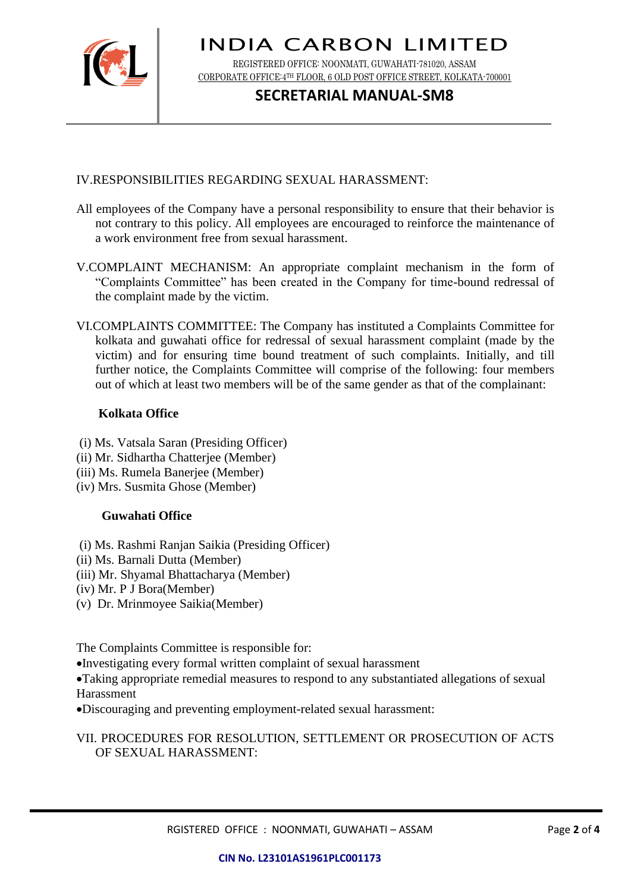

REGISTERED OFFICE: NOONMATI, GUWAHATI-781020, ASSAM CORPORATE OFFICE:4TH FLOOR, 6 OLD POST OFFICE STREET, KOLKATA-700001

### **SECRETARIAL MANUAL-SM8**

### IV.RESPONSIBILITIES REGARDING SEXUAL HARASSMENT:

- All employees of the Company have a personal responsibility to ensure that their behavior is not contrary to this policy. All employees are encouraged to reinforce the maintenance of a work environment free from sexual harassment.
- V.COMPLAINT MECHANISM: An appropriate complaint mechanism in the form of "Complaints Committee" has been created in the Company for time-bound redressal of the complaint made by the victim.
- VI.COMPLAINTS COMMITTEE: The Company has instituted a Complaints Committee for kolkata and guwahati office for redressal of sexual harassment complaint (made by the victim) and for ensuring time bound treatment of such complaints. Initially, and till further notice, the Complaints Committee will comprise of the following: four members out of which at least two members will be of the same gender as that of the complainant:

### **Kolkata Office**

- (i) Ms. Vatsala Saran (Presiding Officer)
- (ii) Mr. Sidhartha Chatterjee (Member)
- (iii) Ms. Rumela Banerjee (Member)
- (iv) Mrs. Susmita Ghose (Member)

### **Guwahati Office**

- (i) Ms. Rashmi Ranjan Saikia (Presiding Officer)
- (ii) Ms. Barnali Dutta (Member)
- (iii) Mr. Shyamal Bhattacharya (Member)
- (iv) Mr. P J Bora(Member)
- (v) Dr. Mrinmoyee Saikia(Member)

The Complaints Committee is responsible for:

•Investigating every formal written complaint of sexual harassment

•Taking appropriate remedial measures to respond to any substantiated allegations of sexual Harassment

•Discouraging and preventing employment-related sexual harassment:

VII. PROCEDURES FOR RESOLUTION, SETTLEMENT OR PROSECUTION OF ACTS OF SEXUAL HARASSMENT: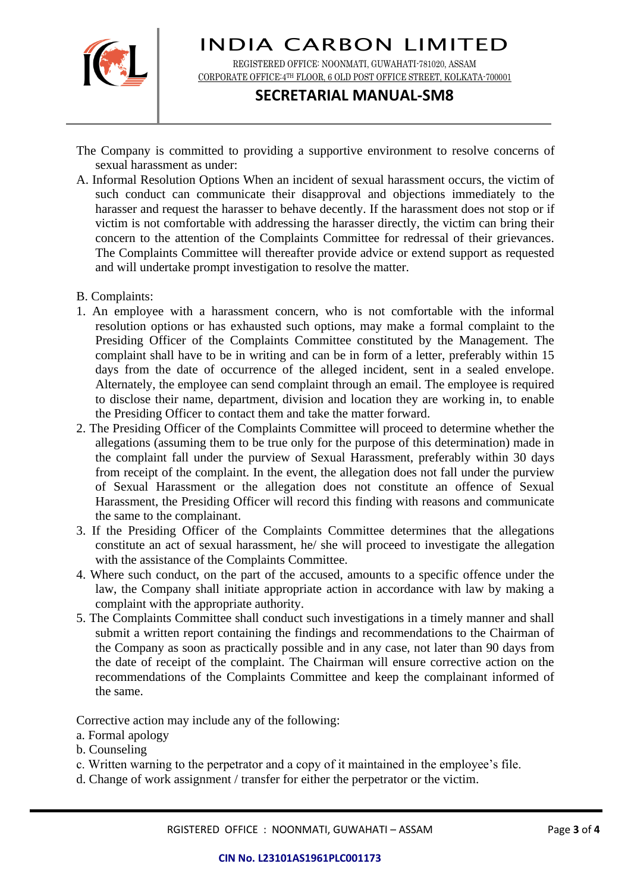

REGISTERED OFFICE: NOONMATI, GUWAHATI-781020, ASSAM CORPORATE OFFICE:4TH FLOOR, 6 OLD POST OFFICE STREET, KOLKATA-700001

### **SECRETARIAL MANUAL-SM8**

- The Company is committed to providing a supportive environment to resolve concerns of sexual harassment as under:
- A. Informal Resolution Options When an incident of sexual harassment occurs, the victim of such conduct can communicate their disapproval and objections immediately to the harasser and request the harasser to behave decently. If the harassment does not stop or if victim is not comfortable with addressing the harasser directly, the victim can bring their concern to the attention of the Complaints Committee for redressal of their grievances. The Complaints Committee will thereafter provide advice or extend support as requested and will undertake prompt investigation to resolve the matter.
- B. Complaints:
- 1. An employee with a harassment concern, who is not comfortable with the informal resolution options or has exhausted such options, may make a formal complaint to the Presiding Officer of the Complaints Committee constituted by the Management. The complaint shall have to be in writing and can be in form of a letter, preferably within 15 days from the date of occurrence of the alleged incident, sent in a sealed envelope. Alternately, the employee can send complaint through an email. The employee is required to disclose their name, department, division and location they are working in, to enable the Presiding Officer to contact them and take the matter forward.
- 2. The Presiding Officer of the Complaints Committee will proceed to determine whether the allegations (assuming them to be true only for the purpose of this determination) made in the complaint fall under the purview of Sexual Harassment, preferably within 30 days from receipt of the complaint. In the event, the allegation does not fall under the purview of Sexual Harassment or the allegation does not constitute an offence of Sexual Harassment, the Presiding Officer will record this finding with reasons and communicate the same to the complainant.
- 3. If the Presiding Officer of the Complaints Committee determines that the allegations constitute an act of sexual harassment, he/ she will proceed to investigate the allegation with the assistance of the Complaints Committee.
- 4. Where such conduct, on the part of the accused, amounts to a specific offence under the law, the Company shall initiate appropriate action in accordance with law by making a complaint with the appropriate authority.
- 5. The Complaints Committee shall conduct such investigations in a timely manner and shall submit a written report containing the findings and recommendations to the Chairman of the Company as soon as practically possible and in any case, not later than 90 days from the date of receipt of the complaint. The Chairman will ensure corrective action on the recommendations of the Complaints Committee and keep the complainant informed of the same.

Corrective action may include any of the following:

- a. Formal apology
- b. Counseling
- c. Written warning to the perpetrator and a copy of it maintained in the employee's file.
- d. Change of work assignment / transfer for either the perpetrator or the victim.